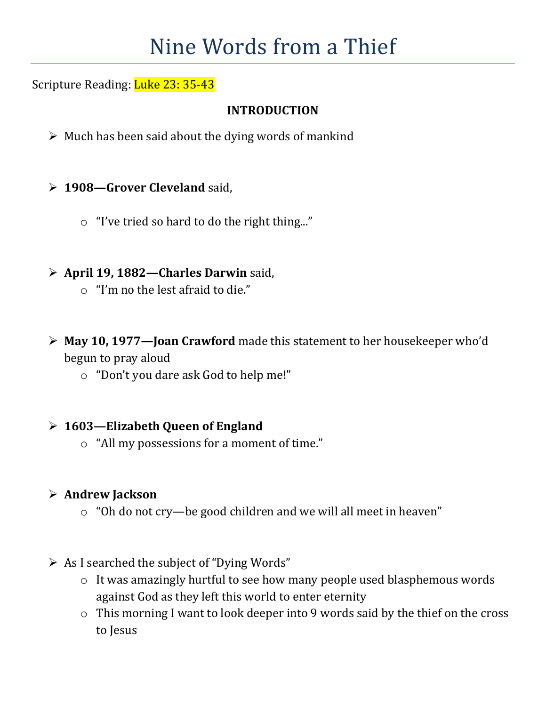# Nine Words from a Thief

# Scripture Reading: Luke 23: 35-43

## **INTRODUCTION**

- $\triangleright$  Much has been said about the dying words of mankind
- **1908—Grover Cleveland** said,
	- o "I've tried so hard to do the right thing..."
- **April 19, 1882—Charles Darwin** said,
	- o "I'm no the lest afraid to die."
- **May 10, 1977—Joan Crawford** made this statement to her housekeeper who'd begun to pray aloud
	- o "Don't you dare ask God to help me!"

## **1603—Elizabeth Queen of England**

o "All my possessions for a moment of time."

## **Andrew Jackson**

- o "Oh do not cry—be good children and we will all meet in heaven"
- $\triangleright$  As I searched the subject of "Dying Words"
	- o It was amazingly hurtful to see how many people used blasphemous words against God as they left this world to enter eternity
	- o This morning I want to look deeper into 9 words said by the thief on the cross to Jesus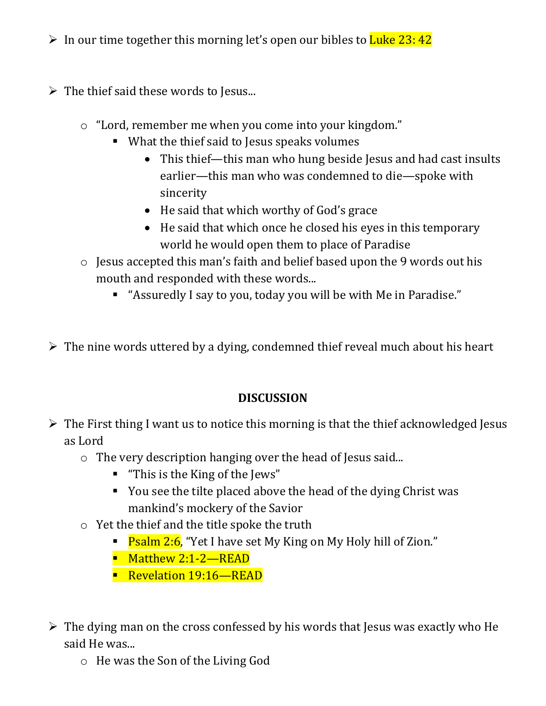- In our time together this morning let's open our bibles to Luke 23: 42
- $\triangleright$  The thief said these words to Jesus...
	- o "Lord, remember me when you come into your kingdom."
		- What the thief said to Jesus speaks volumes
			- This thief—this man who hung beside Jesus and had cast insults earlier—this man who was condemned to die—spoke with sincerity
			- He said that which worthy of God's grace
			- He said that which once he closed his eyes in this temporary world he would open them to place of Paradise
	- o Jesus accepted this man's faith and belief based upon the 9 words out his mouth and responded with these words...
		- "Assuredly I say to you, today you will be with Me in Paradise."

 $\triangleright$  The nine words uttered by a dying, condemned thief reveal much about his heart

#### **DISCUSSION**

- $\triangleright$  The First thing I want us to notice this morning is that the thief acknowledged Jesus as Lord
	- o The very description hanging over the head of Jesus said...
		- **-** "This is the King of the Jews"
		- You see the tilte placed above the head of the dying Christ was mankind's mockery of the Savior
	- o Yet the thief and the title spoke the truth
		- Psalm 2:6, "Yet I have set My King on My Holy hill of Zion."
		- Matthew 2:1-2—READ
		- **Revelation 19:16—READ**
- The dying man on the cross confessed by his words that Jesus was exactly who He said He was...
	- o He was the Son of the Living God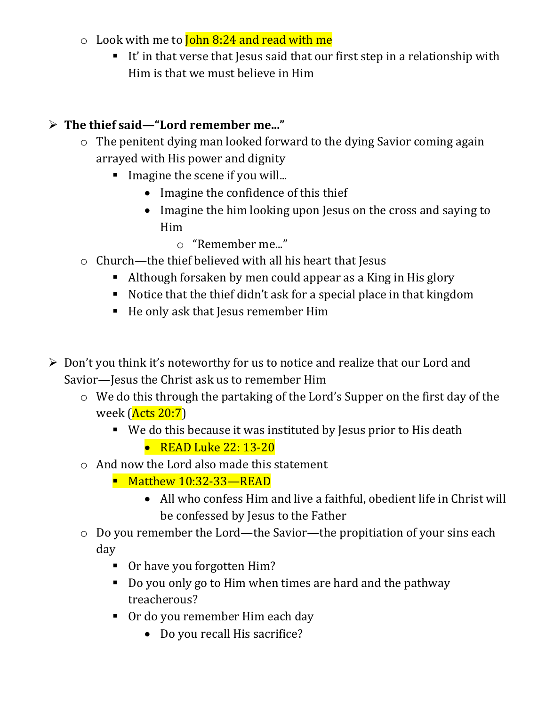- $\circ$  Look with me to **John 8:24 and read with me** 
	- It' in that verse that Jesus said that our first step in a relationship with Him is that we must believe in Him

# **The thief said—"Lord remember me..."**

- o The penitent dying man looked forward to the dying Savior coming again arrayed with His power and dignity
	- **Imagine the scene if you will...** 
		- Imagine the confidence of this thief
		- Imagine the him looking upon Jesus on the cross and saying to Him
			- o "Remember me..."
- $\circ$  Church—the thief believed with all his heart that Jesus
	- Although forsaken by men could appear as a King in His glory
	- Notice that the thief didn't ask for a special place in that kingdom
	- He only ask that Jesus remember Him
- $\triangleright$  Don't you think it's noteworthy for us to notice and realize that our Lord and Savior—Jesus the Christ ask us to remember Him
	- o We do this through the partaking of the Lord's Supper on the first day of the week (Acts 20:7)
		- We do this because it was instituted by Jesus prior to His death
			- READ Luke 22: 13-20
	- o And now the Lord also made this statement
		- Matthew 10:32-33—READ
			- All who confess Him and live a faithful, obedient life in Christ will be confessed by Jesus to the Father
	- o Do you remember the Lord—the Savior—the propitiation of your sins each day
		- Or have you forgotten Him?
		- Do you only go to Him when times are hard and the pathway treacherous?
		- Or do you remember Him each day
			- Do you recall His sacrifice?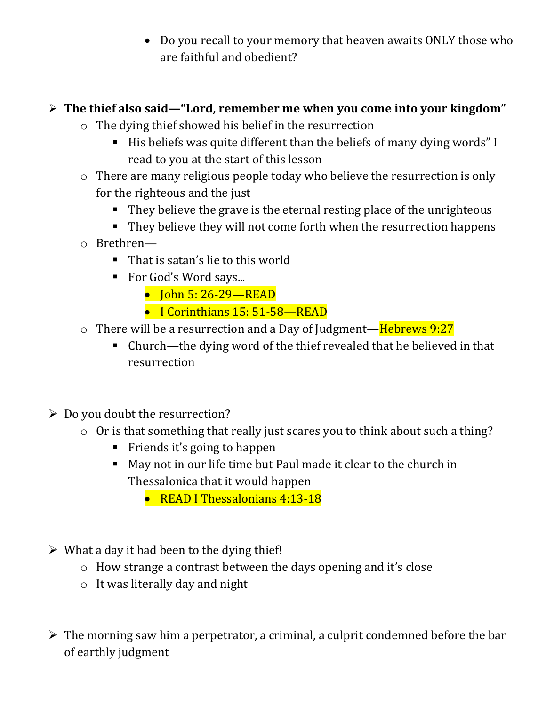• Do you recall to your memory that heaven awaits ONLY those who are faithful and obedient?

# **The thief also said—"Lord, remember me when you come into your kingdom"**

- o The dying thief showed his belief in the resurrection
	- His beliefs was quite different than the beliefs of many dying words" I read to you at the start of this lesson
- o There are many religious people today who believe the resurrection is only for the righteous and the just
	- They believe the grave is the eternal resting place of the unrighteous
	- They believe they will not come forth when the resurrection happens
- o Brethren—
	- That is satan's lie to this world
	- For God's Word says...
		- John 5: 26-29—READ
		- I Corinthians 15: 51-58—READ
- $\circ$  There will be a resurrection and a Day of Judgment—Hebrews 9:27
	- Church—the dying word of the thief revealed that he believed in that resurrection
- $\triangleright$  Do you doubt the resurrection?
	- o Or is that something that really just scares you to think about such a thing?
		- Friends it's going to happen
		- May not in our life time but Paul made it clear to the church in Thessalonica that it would happen
			- READ I Thessalonians 4:13-18
- $\triangleright$  What a day it had been to the dying thief!
	- o How strange a contrast between the days opening and it's close
	- o It was literally day and night
- $\triangleright$  The morning saw him a perpetrator, a criminal, a culprit condemned before the bar of earthly judgment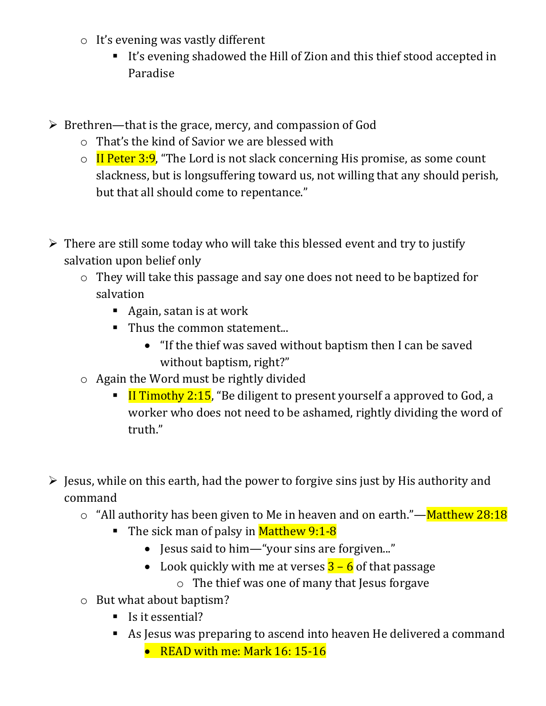- o It's evening was vastly different
	- It's evening shadowed the Hill of Zion and this thief stood accepted in Paradise
- $\triangleright$  Brethren—that is the grace, mercy, and compassion of God
	- o That's the kind of Savior we are blessed with
	- $\circ$  II Peter 3:9, "The Lord is not slack concerning His promise, as some count slackness, but is longsuffering toward us, not willing that any should perish, but that all should come to repentance."
- $\triangleright$  There are still some today who will take this blessed event and try to justify salvation upon belief only
	- o They will take this passage and say one does not need to be baptized for salvation
		- Again, satan is at work
		- Thus the common statement...
			- "If the thief was saved without baptism then I can be saved without baptism, right?"
	- o Again the Word must be rightly divided
		- **I** Timothy 2:15, "Be diligent to present yourself a approved to God, a worker who does not need to be ashamed, rightly dividing the word of truth."
- $\triangleright$  Jesus, while on this earth, had the power to forgive sins just by His authority and command
	- $\circ$  "All authority has been given to Me in heaven and on earth."—Matthew 28:18
		- The sick man of palsy in Matthew 9:1-8
			- Jesus said to him—"your sins are forgiven..."
			- Look quickly with me at verses  $\frac{3-6}{3}$  of that passage
				- o The thief was one of many that Jesus forgave
	- o But what about baptism?
		- Is it essential?
		- As Jesus was preparing to ascend into heaven He delivered a command
			- READ with me: Mark 16: 15-16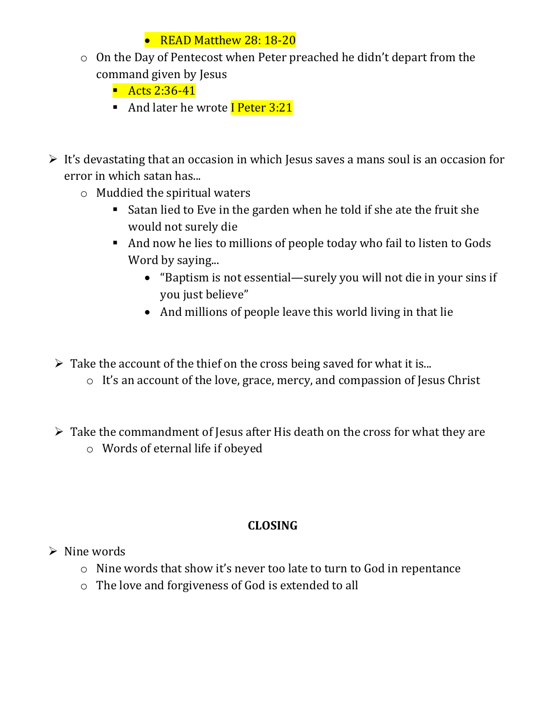# • READ Matthew 28: 18-20

- o On the Day of Pentecost when Peter preached he didn't depart from the command given by Jesus
	- $\blacksquare$  Acts 2:36-41
	- And later he wrote I Peter 3:21
- $\triangleright$  It's devastating that an occasion in which Jesus saves a mans soul is an occasion for error in which satan has...
	- o Muddied the spiritual waters
		- Satan lied to Eve in the garden when he told if she ate the fruit she would not surely die
		- And now he lies to millions of people today who fail to listen to Gods Word by saying...
			- "Baptism is not essential—surely you will not die in your sins if you just believe"
			- And millions of people leave this world living in that lie
	- $\triangleright$  Take the account of the thief on the cross being saved for what it is...
		- o It's an account of the love, grace, mercy, and compassion of Jesus Christ
	- $\triangleright$  Take the commandment of Jesus after His death on the cross for what they are
		- o Words of eternal life if obeyed

# **CLOSING**

- $\triangleright$  Nine words
	- o Nine words that show it's never too late to turn to God in repentance
	- o The love and forgiveness of God is extended to all